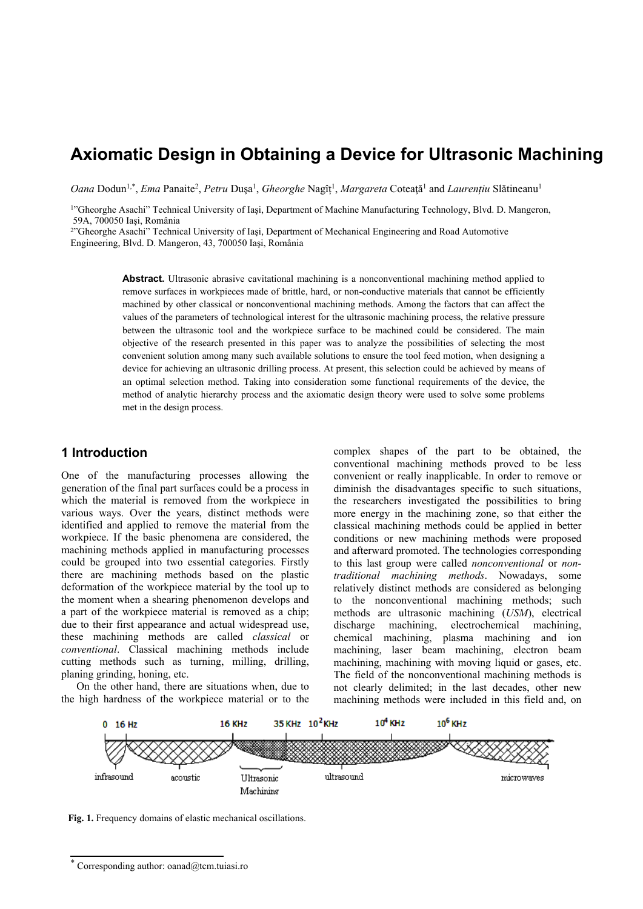# **Axiomatic Design in Obtaining a Device for Ultrasonic Machining**

Oana Dodun<sup>1,\*</sup>, *Ema* Panaite<sup>2</sup>, *Petru* Dușa<sup>1</sup>, *Gheorghe* Nagîț<sup>1</sup>, *Margareta* Coteață<sup>1</sup> and *Laurențiu* Slătineanu<sup>1</sup>

<sup>1</sup>"Gheorghe Asachi" Technical University of Iaşi, Department of Machine Manufacturing Technology, Blvd. D. Mangeron, 59A, 700050 Iaşi, România

<sup>2</sup> Gheorghe Asachi" Technical University of Iasi, Department of Mechanical Engineering and Road Automotive Engineering, Blvd. D. Mangeron, 43, 700050 Iaşi, România

> **Abstract.** Ultrasonic abrasive cavitational machining is a nonconventional machining method applied to remove surfaces in workpieces made of brittle, hard, or non-conductive materials that cannot be efficiently machined by other classical or nonconventional machining methods. Among the factors that can affect the values of the parameters of technological interest for the ultrasonic machining process, the relative pressure between the ultrasonic tool and the workpiece surface to be machined could be considered. The main objective of the research presented in this paper was to analyze the possibilities of selecting the most convenient solution among many such available solutions to ensure the tool feed motion, when designing a device for achieving an ultrasonic drilling process. At present, this selection could be achieved by means of an optimal selection method. Taking into consideration some functional requirements of the device, the method of analytic hierarchy process and the axiomatic design theory were used to solve some problems met in the design process.

#### **1 Introduction**

One of the manufacturing processes allowing the generation of the final part surfaces could be a process in which the material is removed from the workpiece in various ways. Over the years, distinct methods were identified and applied to remove the material from the workpiece. If the basic phenomena are considered, the machining methods applied in manufacturing processes could be grouped into two essential categories. Firstly there are machining methods based on the plastic deformation of the workpiece material by the tool up to the moment when a shearing phenomenon develops and a part of the workpiece material is removed as a chip; due to their first appearance and actual widespread use, these machining methods are called *classical* or *conventional*. Classical machining methods include cutting methods such as turning, milling, drilling, planing grinding, honing, etc.

On the other hand, there are situations when, due to the high hardness of the workpiece material or to the

complex shapes of the part to be obtained, the conventional machining methods proved to be less convenient or really inapplicable. In order to remove or diminish the disadvantages specific to such situations, the researchers investigated the possibilities to bring more energy in the machining zone, so that either the classical machining methods could be applied in better conditions or new machining methods were proposed and afterward promoted. The technologies corresponding to this last group were called *nonconventional* or *nontraditional machining methods*. Nowadays, some relatively distinct methods are considered as belonging to the nonconventional machining methods; such methods are ultrasonic machining (*USM*), electrical discharge machining, electrochemical machining, chemical machining, plasma machining and ion machining, laser beam machining, electron beam machining, machining with moving liquid or gases, etc. The field of the nonconventional machining methods is not clearly delimited; in the last decades, other new machining methods were included in this field and, on



**Fig. 1.** Frequency domains of elastic mechanical oscillations.

<sup>\*</sup> Corresponding author: oanad@tcm.tuiasi.ro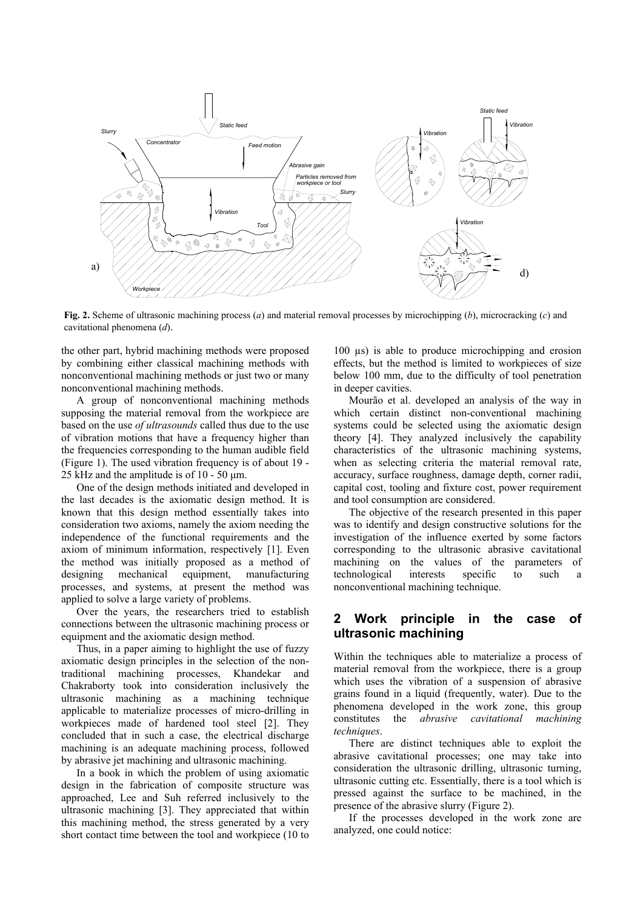

**Fig. 2.** Scheme of ultrasonic machining process (*a*) and material removal processes by microchipping (*b*), microcracking (*c*) and cavitational phenomena (*d*).

the other part, hybrid machining methods were proposed by combining either classical machining methods with nonconventional machining methods or just two or many nonconventional machining methods.

A group of nonconventional machining methods supposing the material removal from the workpiece are based on the use *of ultrasounds* called thus due to the use of vibration motions that have a frequency higher than the frequencies corresponding to the human audible field (Figure 1). The used vibration frequency is of about 19 - 25 kHz and the amplitude is of 10 - 50  $\mu$ m.

One of the design methods initiated and developed in the last decades is the axiomatic design method. It is known that this design method essentially takes into consideration two axioms, namely the axiom needing the independence of the functional requirements and the axiom of minimum information, respectively [1]. Even the method was initially proposed as a method of designing mechanical equipment, manufacturing processes, and systems, at present the method was applied to solve a large variety of problems.

Over the years, the researchers tried to establish connections between the ultrasonic machining process or equipment and the axiomatic design method.

Thus, in a paper aiming to highlight the use of fuzzy axiomatic design principles in the selection of the nontraditional machining processes, Khandekar and Chakraborty took into consideration inclusively the ultrasonic machining as a machining technique applicable to materialize processes of micro-drilling in workpieces made of hardened tool steel [2]. They concluded that in such a case, the electrical discharge machining is an adequate machining process, followed by abrasive jet machining and ultrasonic machining.

In a book in which the problem of using axiomatic design in the fabrication of composite structure was approached, Lee and Suh referred inclusively to the ultrasonic machining [3]. They appreciated that within this machining method, the stress generated by a very short contact time between the tool and workpiece (10 to

100 µs) is able to produce microchipping and erosion effects, but the method is limited to workpieces of size below 100 mm, due to the difficulty of tool penetration in deeper cavities.

Mourão et al. developed an analysis of the way in which certain distinct non-conventional machining systems could be selected using the axiomatic design theory [4]. They analyzed inclusively the capability characteristics of the ultrasonic machining systems, when as selecting criteria the material removal rate, accuracy, surface roughness, damage depth, corner radii, capital cost, tooling and fixture cost, power requirement and tool consumption are considered.

The objective of the research presented in this paper was to identify and design constructive solutions for the investigation of the influence exerted by some factors corresponding to the ultrasonic abrasive cavitational machining on the values of the parameters of technological interests specific to such a nonconventional machining technique.

### **2 Work principle in the case of ultrasonic machining**

Within the techniques able to materialize a process of material removal from the workpiece, there is a group which uses the vibration of a suspension of abrasive grains found in a liquid (frequently, water). Due to the phenomena developed in the work zone, this group constitutes the *abrasive cavitational machining techniques*.

There are distinct techniques able to exploit the abrasive cavitational processes; one may take into consideration the ultrasonic drilling, ultrasonic turning, ultrasonic cutting etc. Essentially, there is a tool which is pressed against the surface to be machined, in the presence of the abrasive slurry (Figure 2).

If the processes developed in the work zone are analyzed, one could notice: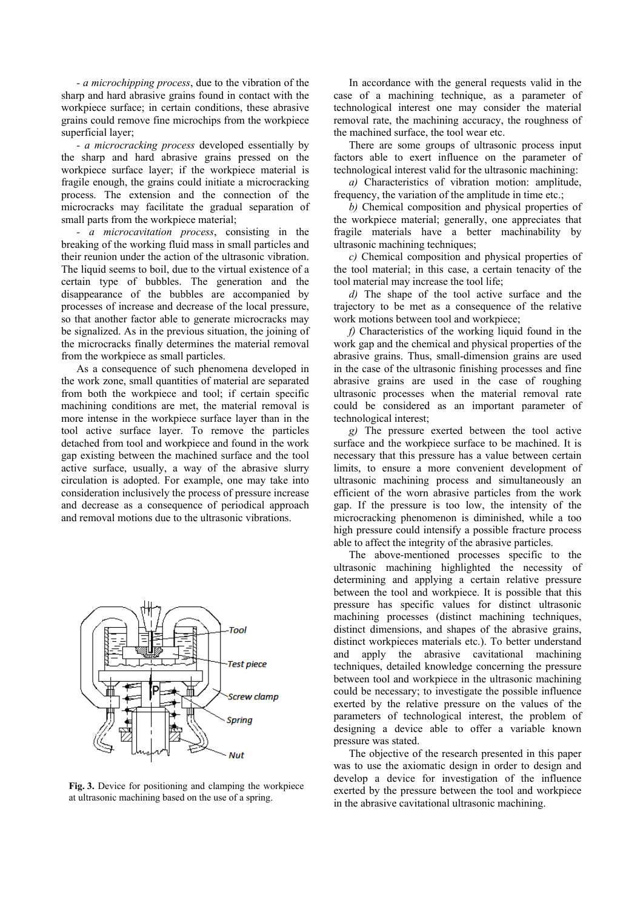*- a microchipping process*, due to the vibration of the sharp and hard abrasive grains found in contact with the workpiece surface; in certain conditions, these abrasive grains could remove fine microchips from the workpiece superficial layer;

*- a microcracking process* developed essentially by the sharp and hard abrasive grains pressed on the workpiece surface layer; if the workpiece material is fragile enough, the grains could initiate a microcracking process. The extension and the connection of the microcracks may facilitate the gradual separation of small parts from the workpiece material;

*- a microcavitation process*, consisting in the breaking of the working fluid mass in small particles and their reunion under the action of the ultrasonic vibration. The liquid seems to boil, due to the virtual existence of a certain type of bubbles. The generation and the disappearance of the bubbles are accompanied by processes of increase and decrease of the local pressure, so that another factor able to generate microcracks may be signalized. As in the previous situation, the joining of the microcracks finally determines the material removal from the workpiece as small particles.

As a consequence of such phenomena developed in the work zone, small quantities of material are separated from both the workpiece and tool; if certain specific machining conditions are met, the material removal is more intense in the workpiece surface layer than in the tool active surface layer. To remove the particles detached from tool and workpiece and found in the work gap existing between the machined surface and the tool active surface, usually, a way of the abrasive slurry circulation is adopted. For example, one may take into consideration inclusively the process of pressure increase and decrease as a consequence of periodical approach and removal motions due to the ultrasonic vibrations.



**Fig. 3.** Device for positioning and clamping the workpiece at ultrasonic machining based on the use of a spring.

In accordance with the general requests valid in the case of a machining technique, as a parameter of technological interest one may consider the material removal rate, the machining accuracy, the roughness of the machined surface, the tool wear etc.

There are some groups of ultrasonic process input factors able to exert influence on the parameter of technological interest valid for the ultrasonic machining:

*a)* Characteristics of vibration motion: amplitude, frequency, the variation of the amplitude in time etc.;

*b)* Chemical composition and physical properties of the workpiece material; generally, one appreciates that fragile materials have a better machinability by ultrasonic machining techniques;

*c)* Chemical composition and physical properties of the tool material; in this case, a certain tenacity of the tool material may increase the tool life;

*d)* The shape of the tool active surface and the trajectory to be met as a consequence of the relative work motions between tool and workpiece;

*f)* Characteristics of the working liquid found in the work gap and the chemical and physical properties of the abrasive grains. Thus, small-dimension grains are used in the case of the ultrasonic finishing processes and fine abrasive grains are used in the case of roughing ultrasonic processes when the material removal rate could be considered as an important parameter of technological interest;

*g)* The pressure exerted between the tool active surface and the workpiece surface to be machined. It is necessary that this pressure has a value between certain limits, to ensure a more convenient development of ultrasonic machining process and simultaneously an efficient of the worn abrasive particles from the work gap. If the pressure is too low, the intensity of the microcracking phenomenon is diminished, while a too high pressure could intensify a possible fracture process able to affect the integrity of the abrasive particles.

The above-mentioned processes specific to the ultrasonic machining highlighted the necessity of determining and applying a certain relative pressure between the tool and workpiece. It is possible that this pressure has specific values for distinct ultrasonic machining processes (distinct machining techniques, distinct dimensions, and shapes of the abrasive grains, distinct workpieces materials etc.). To better understand and apply the abrasive cavitational machining techniques, detailed knowledge concerning the pressure between tool and workpiece in the ultrasonic machining could be necessary; to investigate the possible influence exerted by the relative pressure on the values of the parameters of technological interest, the problem of designing a device able to offer a variable known pressure was stated.

The objective of the research presented in this paper was to use the axiomatic design in order to design and develop a device for investigation of the influence exerted by the pressure between the tool and workpiece in the abrasive cavitational ultrasonic machining.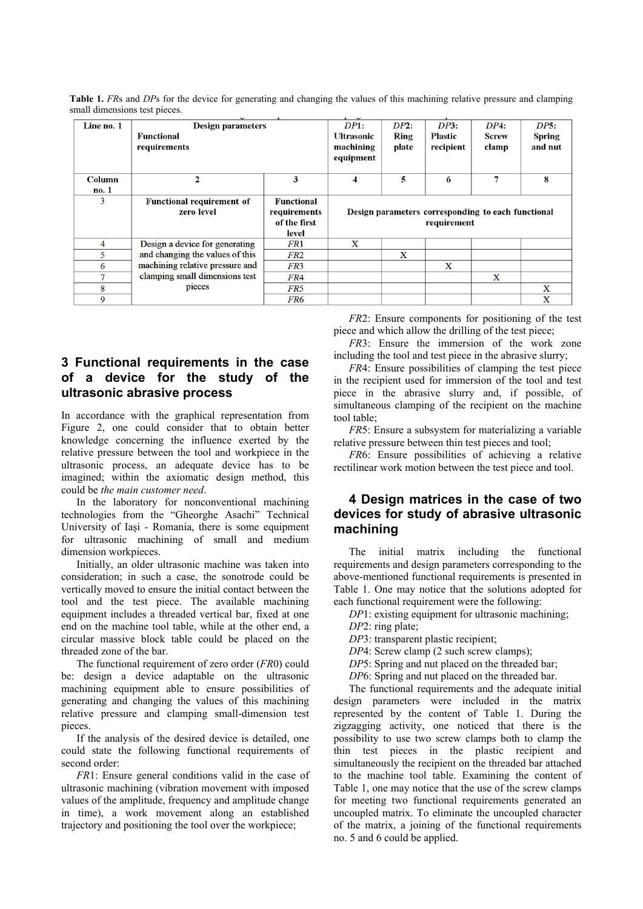| Table 1. FRs and DPs for the device for generating and changing the values of this machining relative pressure and clamping |  |  |  |  |  |
|-----------------------------------------------------------------------------------------------------------------------------|--|--|--|--|--|
| small dimensions test pieces.                                                                                               |  |  |  |  |  |

| Line no. 1 | Design parameters                              |                                | $\overline{1}$<br>DP1:                             | DP2:                 | DP3:                  | DP4:                     | DP5: |  |
|------------|------------------------------------------------|--------------------------------|----------------------------------------------------|----------------------|-----------------------|--------------------------|------|--|
|            | Functional<br>requirements                     | <b>Ultrasonic</b><br>machining | Ring<br>plate                                      | Plastic<br>recipient | <b>Screw</b><br>clamp | <b>Spring</b><br>and nut |      |  |
|            |                                                |                                | equipment                                          |                      |                       |                          |      |  |
| Column     | 2                                              | 3                              | 4                                                  | 5                    | 6                     | 7                        | 8    |  |
| no. 1      |                                                |                                |                                                    |                      |                       |                          |      |  |
| 3          | <b>Functional requirement of</b><br>zero level | Functional<br>requirements     | Design parameters corresponding to each functional |                      |                       |                          |      |  |
|            |                                                | of the first                   |                                                    |                      | requirement           |                          |      |  |
|            |                                                | level                          |                                                    |                      |                       |                          |      |  |
| 4          | Design a device for generating                 | FR1                            | X                                                  |                      |                       |                          |      |  |
| 5          | and changing the values of this                | FR2                            |                                                    | X                    |                       |                          |      |  |
| 6          | machining relative pressure and                | FR3                            |                                                    |                      | X                     |                          |      |  |
| 7          | clamping small dimensions test                 | FR4                            |                                                    |                      |                       | X                        |      |  |
| 8          | pieces                                         | FR5                            |                                                    |                      |                       |                          | X    |  |
| 9          |                                                | FR6                            |                                                    |                      |                       |                          | X    |  |

## **3 Functional requirements in the case of a device for the study of the ultrasonic abrasive process**

In accordance with the graphical representation from Figure 2, one could consider that to obtain better knowledge concerning the influence exerted by the relative pressure between the tool and workpiece in the ultrasonic process, an adequate device has to be imagined; within the axiomatic design method, this could be *the main customer need*.

In the laboratory for nonconventional machining technologies from the "Gheorghe Asachi" Technical University of Iași - Romania, there is some equipment for ultrasonic machining of small and medium dimension workpieces.

Initially, an older ultrasonic machine was taken into consideration; in such a case, the sonotrode could be vertically moved to ensure the initial contact between the tool and the test piece. The available machining equipment includes a threaded vertical bar, fixed at one end on the machine tool table, while at the other end, a circular massive block table could be placed on the threaded zone of the bar.

The functional requirement of zero order (*FR*0) could be: design a device adaptable on the ultrasonic machining equipment able to ensure possibilities of generating and changing the values of this machining relative pressure and clamping small-dimension test pieces.

If the analysis of the desired device is detailed, one could state the following functional requirements of second order:

*FR*1: Ensure general conditions valid in the case of ultrasonic machining (vibration movement with imposed values of the amplitude, frequency and amplitude change in time), a work movement along an established trajectory and positioning the tool over the workpiece;

*FR*2: Ensure components for positioning of the test piece and which allow the drilling of the test piece;

*FR*3: Ensure the immersion of the work zone including the tool and test piece in the abrasive slurry;

*FR4*: Ensure possibilities of clamping the test piece in the recipient used for immersion of the tool and test piece in the abrasive slurry and, if possible, of simultaneous clamping of the recipient on the machine tool table;

*FR*5: Ensure a subsystem for materializing a variable relative pressure between thin test pieces and tool;

*FR*6: Ensure possibilities of achieving a relative rectilinear work motion between the test piece and tool.

## **4 Design matrices in the case of two devices for study of abrasive ultrasonic machining**

The initial matrix including the functional requirements and design parameters corresponding to the above-mentioned functional requirements is presented in Table 1. One may notice that the solutions adopted for each functional requirement were the following:

*DP*1: existing equipment for ultrasonic machining;

- *DP*2: ring plate;
- *DP*3: transparent plastic recipient;
- *DP*4: Screw clamp (2 such screw clamps);
- *DP5*: Spring and nut placed on the threaded bar;
- *DP*6: Spring and nut placed on the threaded bar.

The functional requirements and the adequate initial design parameters were included in the matrix represented by the content of Table 1. During the zigzagging activity, one noticed that there is the possibility to use two screw clamps both to clamp the thin test pieces in the plastic recipient and simultaneously the recipient on the threaded bar attached to the machine tool table. Examining the content of Table 1, one may notice that the use of the screw clamps for meeting two functional requirements generated an uncoupled matrix. To eliminate the uncoupled character of the matrix, a joining of the functional requirements no. 5 and 6 could be applied.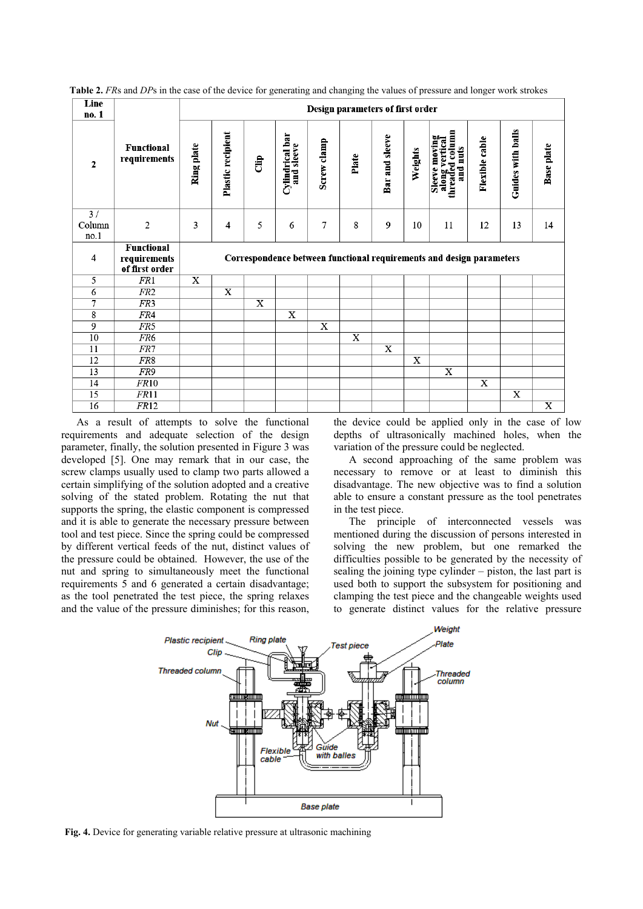| Line<br>no. 1        |                                                     |            | Design parameters of first order |          |                               |             |                       |                |         |                                                                      |                |                   |                       |
|----------------------|-----------------------------------------------------|------------|----------------------------------|----------|-------------------------------|-------------|-----------------------|----------------|---------|----------------------------------------------------------------------|----------------|-------------------|-----------------------|
| $\mathbf{2}$         | <b>Functional</b><br>requirements                   | Ring plate | Plastic recipient                | <b>E</b> | Cylindrical bar<br>and sleeve | Screw clamp | Plate                 | Bar and sleeve | Weights | Sleeve moving<br>along vertical<br>threaded column<br>and nuts       | Flexible cable | Guides with balls | <b>Base</b> plate     |
| 3/<br>Column<br>no.1 | $\overline{2}$                                      | 3          | $\overline{4}$                   | 5        | 6                             | 7           | 8                     | 9              | 10      | 11                                                                   | 12             | 13                | 14                    |
| 4                    | <b>Functional</b><br>requirements<br>of first order |            |                                  |          |                               |             |                       |                |         | Correspondence between functional requirements and design parameters |                |                   |                       |
| 5                    |                                                     |            |                                  |          |                               |             |                       |                |         |                                                                      |                |                   |                       |
|                      | FR1                                                 | X          |                                  |          |                               |             |                       |                |         |                                                                      |                |                   |                       |
| 6                    | FR <sub>2</sub>                                     |            | $\overline{\text{x}}$            |          |                               |             |                       |                |         |                                                                      |                |                   |                       |
| 7                    | FR <sub>3</sub>                                     |            |                                  | X        |                               |             |                       |                |         |                                                                      |                |                   |                       |
| 8                    | FR4                                                 |            |                                  |          | X                             |             |                       |                |         |                                                                      |                |                   |                       |
| 9                    | FR5                                                 |            |                                  |          |                               | X           |                       |                |         |                                                                      |                |                   |                       |
| 10                   | FR6                                                 |            |                                  |          |                               |             | $\overline{\text{x}}$ |                |         |                                                                      |                |                   |                       |
| 11                   | FR7                                                 |            |                                  |          |                               |             |                       | X              |         |                                                                      |                |                   |                       |
| 12                   | FR8                                                 |            |                                  |          |                               |             |                       |                | X       |                                                                      |                |                   |                       |
| 13                   | FR9                                                 |            |                                  |          |                               |             |                       |                |         | X                                                                    |                |                   |                       |
| 14                   | FR10                                                |            |                                  |          |                               |             |                       |                |         |                                                                      | $\mathbf x$    |                   |                       |
| 15<br>16             | FR11<br>FR12                                        |            |                                  |          |                               |             |                       |                |         |                                                                      |                | X                 | $\overline{\text{X}}$ |

**Table 2.** *FR*s and *DP*s in the case of the device for generating and changing the values of pressure and longer work strokes

As a result of attempts to solve the functional requirements and adequate selection of the design parameter, finally, the solution presented in Figure 3 was developed [5]. One may remark that in our case, the screw clamps usually used to clamp two parts allowed a certain simplifying of the solution adopted and a creative solving of the stated problem. Rotating the nut that supports the spring, the elastic component is compressed and it is able to generate the necessary pressure between tool and test piece. Since the spring could be compressed by different vertical feeds of the nut, distinct values of the pressure could be obtained. However, the use of the nut and spring to simultaneously meet the functional requirements 5 and 6 generated a certain disadvantage; as the tool penetrated the test piece, the spring relaxes and the value of the pressure diminishes; for this reason,

the device could be applied only in the case of low depths of ultrasonically machined holes, when the variation of the pressure could be neglected.

A second approaching of the same problem was necessary to remove or at least to diminish this disadvantage. The new objective was to find a solution able to ensure a constant pressure as the tool penetrates in the test piece.

The principle of interconnected vessels was mentioned during the discussion of persons interested in solving the new problem, but one remarked the difficulties possible to be generated by the necessity of sealing the joining type cylinder – piston, the last part is used both to support the subsystem for positioning and clamping the test piece and the changeable weights used to generate distinct values for the relative pressure



**Fig. 4.** Device for generating variable relative pressure at ultrasonic machining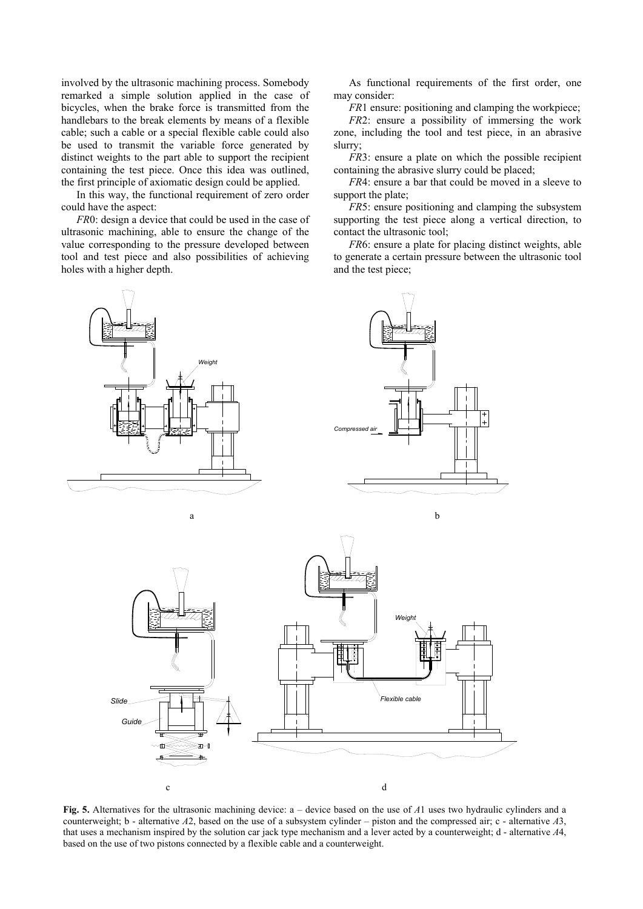involved by the ultrasonic machining process. Somebody remarked a simple solution applied in the case of bicycles, when the brake force is transmitted from the handlebars to the break elements by means of a flexible cable; such a cable or a special flexible cable could also be used to transmit the variable force generated by distinct weights to the part able to support the recipient containing the test piece. Once this idea was outlined, the first principle of axiomatic design could be applied.

In this way, the functional requirement of zero order could have the aspect:

*FR*0: design a device that could be used in the case of ultrasonic machining, able to ensure the change of the value corresponding to the pressure developed between tool and test piece and also possibilities of achieving holes with a higher depth.



*FR*1 ensure: positioning and clamping the workpiece;

*FR*2: ensure a possibility of immersing the work zone, including the tool and test piece, in an abrasive slurry;

*FR3*: ensure a plate on which the possible recipient containing the abrasive slurry could be placed;

*FR*4: ensure a bar that could be moved in a sleeve to support the plate;

*FR*5: ensure positioning and clamping the subsystem supporting the test piece along a vertical direction, to contact the ultrasonic tool;

*FR*6: ensure a plate for placing distinct weights, able to generate a certain pressure between the ultrasonic tool and the test piece;



**Fig. 5.** Alternatives for the ultrasonic machining device: a – device based on the use of *A*1 uses two hydraulic cylinders and a counterweight; b - alternative *A*2, based on the use of a subsystem cylinder – piston and the compressed air; c - alternative *A*3, that uses a mechanism inspired by the solution car jack type mechanism and a lever acted by a counterweight; d - alternative *A*4, based on the use of two pistons connected by a flexible cable and a counterweight.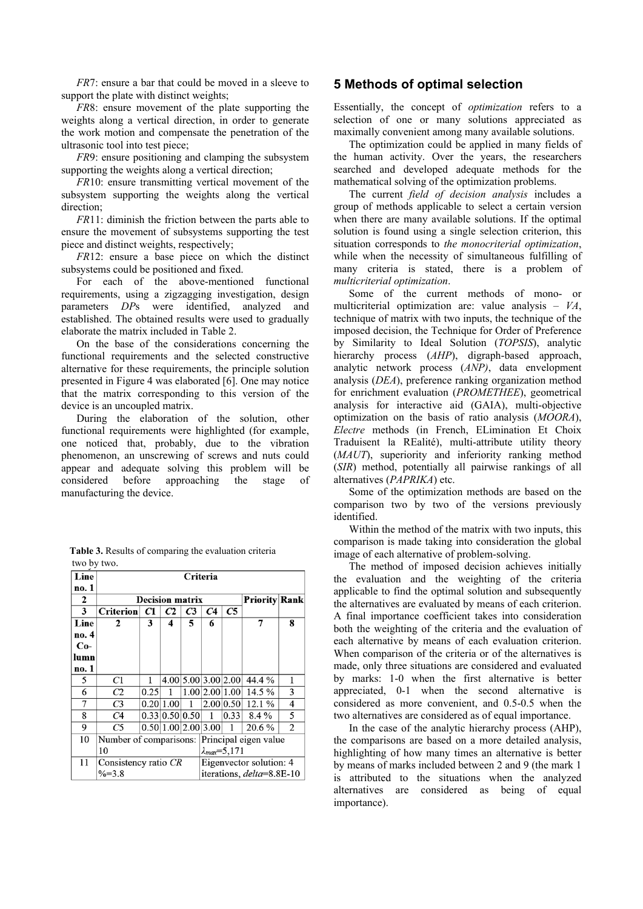*FR*7: ensure a bar that could be moved in a sleeve to support the plate with distinct weights;

*FR*8: ensure movement of the plate supporting the weights along a vertical direction, in order to generate the work motion and compensate the penetration of the ultrasonic tool into test piece;

*FR*9: ensure positioning and clamping the subsystem supporting the weights along a vertical direction;

*FR*10: ensure transmitting vertical movement of the subsystem supporting the weights along the vertical direction:

*FR*11: diminish the friction between the parts able to ensure the movement of subsystems supporting the test piece and distinct weights, respectively;

*FR*12: ensure a base piece on which the distinct subsystems could be positioned and fixed.

For each of the above-mentioned functional requirements, using a zigzagging investigation, design parameters *DP*s were identified, analyzed and established. The obtained results were used to gradually elaborate the matrix included in Table 2.

On the base of the considerations concerning the functional requirements and the selected constructive alternative for these requirements, the principle solution presented in Figure 4 was elaborated [6]. One may notice that the matrix corresponding to this version of the device is an uncoupled matrix.

During the elaboration of the solution, other functional requirements were highlighted (for example, one noticed that, probably, due to the vibration phenomenon, an unscrewing of screws and nuts could appear and adequate solving this problem will be considered before approaching the stage of manufacturing the device.

|              | Table 3. Results of comparing the evaluation criteria |                        |                   |          |  |                      |  |
|--------------|-------------------------------------------------------|------------------------|-------------------|----------|--|----------------------|--|
| two by two.  |                                                       |                        |                   |          |  |                      |  |
| Line         |                                                       |                        |                   | Criteria |  |                      |  |
| no. 1        |                                                       |                        |                   |          |  |                      |  |
| $\mathbf{r}$ |                                                       | <b>Decision matrix</b> |                   |          |  | <b>Priority Rank</b> |  |
|              | C <sub>without</sub>   C1                             |                        | $\alpha$ $\alpha$ |          |  |                      |  |

## **5 Methods of optimal selection**

Essentially, the concept of *optimization* refers to a selection of one or many solutions appreciated as maximally convenient among many available solutions.

The optimization could be applied in many fields of the human activity. Over the years, the researchers searched and developed adequate methods for the mathematical solving of the optimization problems.

The current *field of decision analysis* includes a group of methods applicable to select a certain version when there are many available solutions. If the optimal solution is found using a single selection criterion, this situation corresponds to *the monocriterial optimization*, while when the necessity of simultaneous fulfilling of many criteria is stated, there is a problem of *multicriterial optimization*.

Some of the current methods of mono- or multicriterial optimization are: value analysis – *VA*, technique of matrix with two inputs, the technique of the imposed decision, the Technique for Order of Preference by Similarity to Ideal Solution (*TOPSIS*), analytic hierarchy process (*AHP*), digraph-based approach, analytic network process (*ANP)*, data envelopment analysis (*DEA*), preference ranking organization method for enrichment evaluation (*PROMETHEE*), geometrical analysis for interactive aid (GAIA), multi-objective optimization on the basis of ratio analysis (*MOORA*), *Electre* methods (in French, ELimination Et Choix Traduisent la REalité), multi-attribute utility theory (*MAUT*), superiority and inferiority ranking method (*SIR*) method, potentially all pairwise rankings of all alternatives (*PAPRIKA*) etc.

Some of the optimization methods are based on the comparison two by two of the versions previously identified.

Within the method of the matrix with two inputs, this comparison is made taking into consideration the global image of each alternative of problem-solving.

The method of imposed decision achieves initially the evaluation and the weighting of the criteria applicable to find the optimal solution and subsequently the alternatives are evaluated by means of each criterion. A final importance coefficient takes into consideration both the weighting of the criteria and the evaluation of each alternative by means of each evaluation criterion. When comparison of the criteria or of the alternatives is made, only three situations are considered and evaluated by marks: 1-0 when the first alternative is better appreciated, 0-1 when the second alternative is considered as more convenient, and 0.5-0.5 when the two alternatives are considered as of equal importance.

In the case of the analytic hierarchy process (AHP), the comparisons are based on a more detailed analysis, highlighting of how many times an alternative is better by means of marks included between 2 and 9 (the mark 1 is attributed to the situations when the analyzed alternatives are considered as being of equal importance).

| ∼     |                                              | ілссімні шаша |                |                | 1 LIVLIUV   INAIIN         |           |                         |   |  |
|-------|----------------------------------------------|---------------|----------------|----------------|----------------------------|-----------|-------------------------|---|--|
| 3     | <b>Criterion</b>                             | C1            | C2             | C <sub>3</sub> | C <sub>4</sub>             | C5        |                         |   |  |
| Line  | 2                                            | 3             | 4              | 5              | 6                          |           |                         | 8 |  |
| no. 4 |                                              |               |                |                |                            |           |                         |   |  |
| $Co-$ |                                              |               |                |                |                            |           |                         |   |  |
| lumn  |                                              |               |                |                |                            |           |                         |   |  |
| no. 1 |                                              |               |                |                |                            |           |                         |   |  |
| 5     | C1                                           |               |                |                | 4.00 5.00 3.00 2.00        |           | 44.4 %                  |   |  |
| 6     | C2                                           | 0.25          |                |                | 1.00 2.00 1.00             |           | $14.5\%$                | 3 |  |
| 7     | C <sub>3</sub>                               |               | 0.20 1.00      | 1              |                            | 2.00 0.50 | 12.1%                   | 4 |  |
| 8     | C <sub>4</sub>                               |               | 0.33 0.50 0.50 |                | 1                          | 0.33      | $8.4\%$                 | 5 |  |
| 9     | C <sub>5</sub>                               |               |                |                | 0.50 1.00 2.00 3.00        | 1         | 20.6 %                  | 2 |  |
| 10    | Number of comparisons: Principal eigen value |               |                |                |                            |           |                         |   |  |
|       | 10                                           |               |                |                | $\lambda_{max} = 5,171$    |           |                         |   |  |
| 11    | Consistency ratio CR                         |               |                |                |                            |           | Eigenvector solution: 4 |   |  |
|       | $\frac{6}{6}$ $\frac{2}{3}$ $\frac{8}{3}$    |               |                |                | iterations $delta=8.8F-10$ |           |                         |   |  |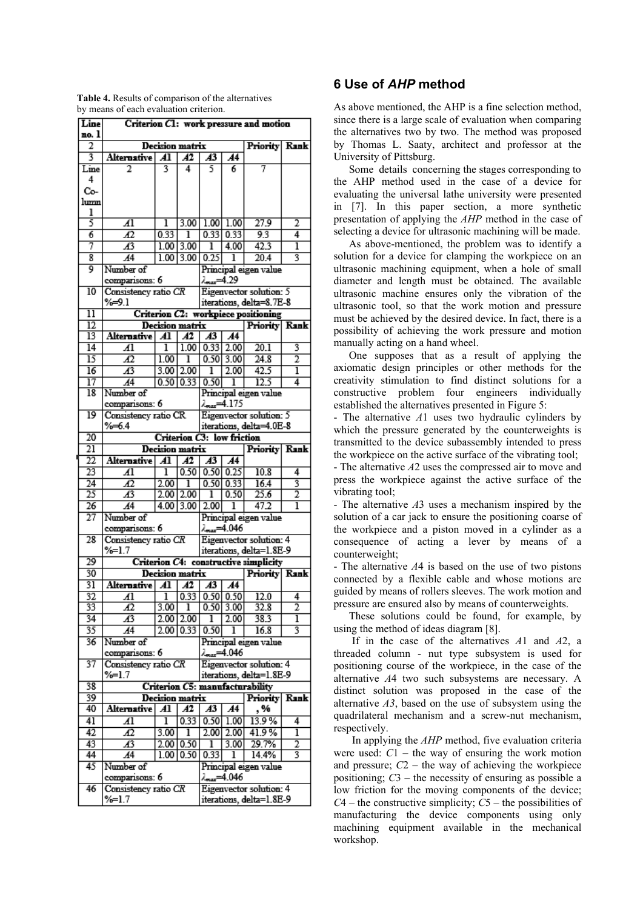|  | <b>Table 4.</b> Results of comparison of the alternatives |  |  |
|--|-----------------------------------------------------------|--|--|
|  | by means of each evaluation criterion.                    |  |  |

| 2<br>Decision matrix<br><b>Rank</b><br>Priority<br>3<br><b>Alternative</b><br>$\overline{A1}$<br>Āï<br>$\overline{A3}$<br>A4<br>3<br>5<br>7<br>4<br>6<br>Line<br>2<br>4<br>Co-<br>lumn<br>ı<br>5<br>3.00<br>1.00<br>1.00<br>27.9<br>Al<br>ı<br>2<br>$\overline{6}$<br>0.33<br>0.33   0.33<br>9.3<br>$\overline{A2}$<br>4<br>ı<br>7<br>42.3<br>$\overline{A^3}$<br>3.00<br>4.00<br>1.00 <sub>1</sub><br>ı<br>ı<br>8<br>3.00<br>20.4<br>3<br>$\overline{A4}$<br>1.00<br>0.25<br>ı<br>9<br>Number of<br>Principal eigen value<br>29.29∞ م<br>comparisons: 6<br>Consistency ratio CR<br>Eigenvector solution: 5<br>10<br>%⇒9.1<br>iterations, delta=8.7E-8<br>Criterion C2: workpiece positioning<br>$\overline{11}$<br>$\overline{12}$<br><b>Decision matrix</b><br>Priority Rank<br>13<br>$\overline{A}$<br>$\overline{A3}$<br>Alternative<br>Al<br>A4<br>$\overline{14}$<br>ī<br>1.00<br>0.33<br>2.00<br>20.1<br>$\overline{A1}$<br>3<br>$\overline{15}$<br>$0.50$ 3.00<br>2<br>Æ<br>1.00<br>ī<br>24.8<br>2.00<br>$\overline{16}$<br>$\overline{A^3}$<br>2.00<br>ī<br>42.5<br>3.00<br>ī<br>0.33<br>0.50<br>12.5<br>17<br>A4<br>0.50<br>4<br>ı<br>Principal eigen value<br>18<br>Number of<br>comparisons: 6<br><b>Lencor - 4.175</b><br>19<br>Consistency ratio CR<br>Eigenvector solution: 5<br>%64<br>iterations, delta=4.0E-8<br>20<br>Criterion C3: low friction<br>$\overline{21}$<br><b>Rank</b><br>Decision matrix<br>Priority<br>22<br>$\overline{A1}$<br>$\overline{A3}$<br>Alternative<br>Al<br>A4<br>23<br>0.50<br>0.25<br>0.50<br>ı<br>10.8<br>Al<br>4<br>3<br>$\overline{24}$<br>Α2<br>2.00<br>0.50<br>0.33<br>16.4<br>ı<br>25<br>$\overline{2}$<br>$\overline{A3}$<br>2.00<br>0.50<br>$\overline{25.6}$<br>2.00<br>ı<br>$\overline{26}$<br>2.00<br>47.2<br>ī<br>A <sup>4</sup><br>4.00<br>3.00<br>ı<br>$\overline{27}$<br>Number of<br>Principal eigen value<br>comparisons: 6<br>4.046.مم<br>$\overline{28}$<br>Consistency ratio CR<br>Eigenvector solution: 4<br>$%=1.7$<br>iterations, delta=1.8E-9<br>29<br>Criterion C4: constructive simplicity<br>30<br><b>Decision matrix</b><br><b>Priority Rank</b><br>31<br>A3<br>$\overline{A4}$<br><b>Alternative</b><br>A2<br>Al<br>32<br>$\overline{0.33}$ $\overline{0.50}$ $\overline{0.50}$<br>ī<br>12.0<br>4<br>41<br>$\overline{2}$<br>$0.50$ 3.00<br>33<br>3.00<br>32.8<br>42<br>ı<br>$\overline{A3}$<br>2.00<br>2.00<br>2.00<br>ī<br>34<br>38.3<br>ı<br>2.00<br>3<br>35<br>$\overline{A4}$<br>0.33<br>0.50<br>16.8<br>ı<br>36<br>Number of<br>Principal eigen value<br>comparisons: 6<br>1.046هه/<br>37<br>Consistency ratio CR<br>Eigenvector solution: 4<br>iterations, delta=1.8E-9<br>%=1.7<br>38<br>Criterion C5: manufacturability<br>39<br>Decision matrix<br>Priority<br>Rank<br><b>Alternative</b><br>A3<br>$\overline{A4}$<br>40<br>Al<br>A2<br>, %<br>0.33<br>13.9%<br>41<br>ī<br>0.50<br>$\overline{A}$<br>1.00<br>4<br>41.9%<br>42<br>Æ<br>3.00<br>2.00<br>2.00<br>ī<br>ı<br>2<br>43<br>$\overline{A^3}$<br>2.00<br>0.50<br>3.00<br>29.7%<br>ı<br>3<br>0.50<br>0.33<br>44<br>$\overline{A4}$<br>1.00<br>14.4%<br>ı<br>45<br>Number of<br>Principal eigen value<br>comparisons: 6<br>4.046 سم<br>46<br>Consistency ratio CR<br>Eigenvector solution: 4<br>iterations, delta=1.8E-9 | Line<br>no. 1 |           |  |  |  |  | Criterion C1: work pressure and motion |  |  |  |
|--------------------------------------------------------------------------------------------------------------------------------------------------------------------------------------------------------------------------------------------------------------------------------------------------------------------------------------------------------------------------------------------------------------------------------------------------------------------------------------------------------------------------------------------------------------------------------------------------------------------------------------------------------------------------------------------------------------------------------------------------------------------------------------------------------------------------------------------------------------------------------------------------------------------------------------------------------------------------------------------------------------------------------------------------------------------------------------------------------------------------------------------------------------------------------------------------------------------------------------------------------------------------------------------------------------------------------------------------------------------------------------------------------------------------------------------------------------------------------------------------------------------------------------------------------------------------------------------------------------------------------------------------------------------------------------------------------------------------------------------------------------------------------------------------------------------------------------------------------------------------------------------------------------------------------------------------------------------------------------------------------------------------------------------------------------------------------------------------------------------------------------------------------------------------------------------------------------------------------------------------------------------------------------------------------------------------------------------------------------------------------------------------------------------------------------------------------------------------------------------------------------------------------------------------------------------------------------------------------------------------------------------------------------------------------------------------------------------------------------------------------------------------------------------------------------------------------------------------------------------------------------------------------------------------------------------------------------------------------------------------------------------------------------------------------------------------------------------------------------------------------------------------------------------------------------------------------------------------------------------------------------------|---------------|-----------|--|--|--|--|----------------------------------------|--|--|--|
|                                                                                                                                                                                                                                                                                                                                                                                                                                                                                                                                                                                                                                                                                                                                                                                                                                                                                                                                                                                                                                                                                                                                                                                                                                                                                                                                                                                                                                                                                                                                                                                                                                                                                                                                                                                                                                                                                                                                                                                                                                                                                                                                                                                                                                                                                                                                                                                                                                                                                                                                                                                                                                                                                                                                                                                                                                                                                                                                                                                                                                                                                                                                                                                                                                                                    |               |           |  |  |  |  |                                        |  |  |  |
|                                                                                                                                                                                                                                                                                                                                                                                                                                                                                                                                                                                                                                                                                                                                                                                                                                                                                                                                                                                                                                                                                                                                                                                                                                                                                                                                                                                                                                                                                                                                                                                                                                                                                                                                                                                                                                                                                                                                                                                                                                                                                                                                                                                                                                                                                                                                                                                                                                                                                                                                                                                                                                                                                                                                                                                                                                                                                                                                                                                                                                                                                                                                                                                                                                                                    |               |           |  |  |  |  |                                        |  |  |  |
|                                                                                                                                                                                                                                                                                                                                                                                                                                                                                                                                                                                                                                                                                                                                                                                                                                                                                                                                                                                                                                                                                                                                                                                                                                                                                                                                                                                                                                                                                                                                                                                                                                                                                                                                                                                                                                                                                                                                                                                                                                                                                                                                                                                                                                                                                                                                                                                                                                                                                                                                                                                                                                                                                                                                                                                                                                                                                                                                                                                                                                                                                                                                                                                                                                                                    |               |           |  |  |  |  |                                        |  |  |  |
|                                                                                                                                                                                                                                                                                                                                                                                                                                                                                                                                                                                                                                                                                                                                                                                                                                                                                                                                                                                                                                                                                                                                                                                                                                                                                                                                                                                                                                                                                                                                                                                                                                                                                                                                                                                                                                                                                                                                                                                                                                                                                                                                                                                                                                                                                                                                                                                                                                                                                                                                                                                                                                                                                                                                                                                                                                                                                                                                                                                                                                                                                                                                                                                                                                                                    |               |           |  |  |  |  |                                        |  |  |  |
|                                                                                                                                                                                                                                                                                                                                                                                                                                                                                                                                                                                                                                                                                                                                                                                                                                                                                                                                                                                                                                                                                                                                                                                                                                                                                                                                                                                                                                                                                                                                                                                                                                                                                                                                                                                                                                                                                                                                                                                                                                                                                                                                                                                                                                                                                                                                                                                                                                                                                                                                                                                                                                                                                                                                                                                                                                                                                                                                                                                                                                                                                                                                                                                                                                                                    |               |           |  |  |  |  |                                        |  |  |  |
|                                                                                                                                                                                                                                                                                                                                                                                                                                                                                                                                                                                                                                                                                                                                                                                                                                                                                                                                                                                                                                                                                                                                                                                                                                                                                                                                                                                                                                                                                                                                                                                                                                                                                                                                                                                                                                                                                                                                                                                                                                                                                                                                                                                                                                                                                                                                                                                                                                                                                                                                                                                                                                                                                                                                                                                                                                                                                                                                                                                                                                                                                                                                                                                                                                                                    |               |           |  |  |  |  |                                        |  |  |  |
|                                                                                                                                                                                                                                                                                                                                                                                                                                                                                                                                                                                                                                                                                                                                                                                                                                                                                                                                                                                                                                                                                                                                                                                                                                                                                                                                                                                                                                                                                                                                                                                                                                                                                                                                                                                                                                                                                                                                                                                                                                                                                                                                                                                                                                                                                                                                                                                                                                                                                                                                                                                                                                                                                                                                                                                                                                                                                                                                                                                                                                                                                                                                                                                                                                                                    |               |           |  |  |  |  |                                        |  |  |  |
|                                                                                                                                                                                                                                                                                                                                                                                                                                                                                                                                                                                                                                                                                                                                                                                                                                                                                                                                                                                                                                                                                                                                                                                                                                                                                                                                                                                                                                                                                                                                                                                                                                                                                                                                                                                                                                                                                                                                                                                                                                                                                                                                                                                                                                                                                                                                                                                                                                                                                                                                                                                                                                                                                                                                                                                                                                                                                                                                                                                                                                                                                                                                                                                                                                                                    |               |           |  |  |  |  |                                        |  |  |  |
|                                                                                                                                                                                                                                                                                                                                                                                                                                                                                                                                                                                                                                                                                                                                                                                                                                                                                                                                                                                                                                                                                                                                                                                                                                                                                                                                                                                                                                                                                                                                                                                                                                                                                                                                                                                                                                                                                                                                                                                                                                                                                                                                                                                                                                                                                                                                                                                                                                                                                                                                                                                                                                                                                                                                                                                                                                                                                                                                                                                                                                                                                                                                                                                                                                                                    |               |           |  |  |  |  |                                        |  |  |  |
|                                                                                                                                                                                                                                                                                                                                                                                                                                                                                                                                                                                                                                                                                                                                                                                                                                                                                                                                                                                                                                                                                                                                                                                                                                                                                                                                                                                                                                                                                                                                                                                                                                                                                                                                                                                                                                                                                                                                                                                                                                                                                                                                                                                                                                                                                                                                                                                                                                                                                                                                                                                                                                                                                                                                                                                                                                                                                                                                                                                                                                                                                                                                                                                                                                                                    |               |           |  |  |  |  |                                        |  |  |  |
|                                                                                                                                                                                                                                                                                                                                                                                                                                                                                                                                                                                                                                                                                                                                                                                                                                                                                                                                                                                                                                                                                                                                                                                                                                                                                                                                                                                                                                                                                                                                                                                                                                                                                                                                                                                                                                                                                                                                                                                                                                                                                                                                                                                                                                                                                                                                                                                                                                                                                                                                                                                                                                                                                                                                                                                                                                                                                                                                                                                                                                                                                                                                                                                                                                                                    |               |           |  |  |  |  |                                        |  |  |  |
|                                                                                                                                                                                                                                                                                                                                                                                                                                                                                                                                                                                                                                                                                                                                                                                                                                                                                                                                                                                                                                                                                                                                                                                                                                                                                                                                                                                                                                                                                                                                                                                                                                                                                                                                                                                                                                                                                                                                                                                                                                                                                                                                                                                                                                                                                                                                                                                                                                                                                                                                                                                                                                                                                                                                                                                                                                                                                                                                                                                                                                                                                                                                                                                                                                                                    |               |           |  |  |  |  |                                        |  |  |  |
|                                                                                                                                                                                                                                                                                                                                                                                                                                                                                                                                                                                                                                                                                                                                                                                                                                                                                                                                                                                                                                                                                                                                                                                                                                                                                                                                                                                                                                                                                                                                                                                                                                                                                                                                                                                                                                                                                                                                                                                                                                                                                                                                                                                                                                                                                                                                                                                                                                                                                                                                                                                                                                                                                                                                                                                                                                                                                                                                                                                                                                                                                                                                                                                                                                                                    |               |           |  |  |  |  |                                        |  |  |  |
|                                                                                                                                                                                                                                                                                                                                                                                                                                                                                                                                                                                                                                                                                                                                                                                                                                                                                                                                                                                                                                                                                                                                                                                                                                                                                                                                                                                                                                                                                                                                                                                                                                                                                                                                                                                                                                                                                                                                                                                                                                                                                                                                                                                                                                                                                                                                                                                                                                                                                                                                                                                                                                                                                                                                                                                                                                                                                                                                                                                                                                                                                                                                                                                                                                                                    |               |           |  |  |  |  |                                        |  |  |  |
|                                                                                                                                                                                                                                                                                                                                                                                                                                                                                                                                                                                                                                                                                                                                                                                                                                                                                                                                                                                                                                                                                                                                                                                                                                                                                                                                                                                                                                                                                                                                                                                                                                                                                                                                                                                                                                                                                                                                                                                                                                                                                                                                                                                                                                                                                                                                                                                                                                                                                                                                                                                                                                                                                                                                                                                                                                                                                                                                                                                                                                                                                                                                                                                                                                                                    |               |           |  |  |  |  |                                        |  |  |  |
|                                                                                                                                                                                                                                                                                                                                                                                                                                                                                                                                                                                                                                                                                                                                                                                                                                                                                                                                                                                                                                                                                                                                                                                                                                                                                                                                                                                                                                                                                                                                                                                                                                                                                                                                                                                                                                                                                                                                                                                                                                                                                                                                                                                                                                                                                                                                                                                                                                                                                                                                                                                                                                                                                                                                                                                                                                                                                                                                                                                                                                                                                                                                                                                                                                                                    |               |           |  |  |  |  |                                        |  |  |  |
|                                                                                                                                                                                                                                                                                                                                                                                                                                                                                                                                                                                                                                                                                                                                                                                                                                                                                                                                                                                                                                                                                                                                                                                                                                                                                                                                                                                                                                                                                                                                                                                                                                                                                                                                                                                                                                                                                                                                                                                                                                                                                                                                                                                                                                                                                                                                                                                                                                                                                                                                                                                                                                                                                                                                                                                                                                                                                                                                                                                                                                                                                                                                                                                                                                                                    |               |           |  |  |  |  |                                        |  |  |  |
|                                                                                                                                                                                                                                                                                                                                                                                                                                                                                                                                                                                                                                                                                                                                                                                                                                                                                                                                                                                                                                                                                                                                                                                                                                                                                                                                                                                                                                                                                                                                                                                                                                                                                                                                                                                                                                                                                                                                                                                                                                                                                                                                                                                                                                                                                                                                                                                                                                                                                                                                                                                                                                                                                                                                                                                                                                                                                                                                                                                                                                                                                                                                                                                                                                                                    |               |           |  |  |  |  |                                        |  |  |  |
|                                                                                                                                                                                                                                                                                                                                                                                                                                                                                                                                                                                                                                                                                                                                                                                                                                                                                                                                                                                                                                                                                                                                                                                                                                                                                                                                                                                                                                                                                                                                                                                                                                                                                                                                                                                                                                                                                                                                                                                                                                                                                                                                                                                                                                                                                                                                                                                                                                                                                                                                                                                                                                                                                                                                                                                                                                                                                                                                                                                                                                                                                                                                                                                                                                                                    |               |           |  |  |  |  |                                        |  |  |  |
|                                                                                                                                                                                                                                                                                                                                                                                                                                                                                                                                                                                                                                                                                                                                                                                                                                                                                                                                                                                                                                                                                                                                                                                                                                                                                                                                                                                                                                                                                                                                                                                                                                                                                                                                                                                                                                                                                                                                                                                                                                                                                                                                                                                                                                                                                                                                                                                                                                                                                                                                                                                                                                                                                                                                                                                                                                                                                                                                                                                                                                                                                                                                                                                                                                                                    |               |           |  |  |  |  |                                        |  |  |  |
|                                                                                                                                                                                                                                                                                                                                                                                                                                                                                                                                                                                                                                                                                                                                                                                                                                                                                                                                                                                                                                                                                                                                                                                                                                                                                                                                                                                                                                                                                                                                                                                                                                                                                                                                                                                                                                                                                                                                                                                                                                                                                                                                                                                                                                                                                                                                                                                                                                                                                                                                                                                                                                                                                                                                                                                                                                                                                                                                                                                                                                                                                                                                                                                                                                                                    |               |           |  |  |  |  |                                        |  |  |  |
|                                                                                                                                                                                                                                                                                                                                                                                                                                                                                                                                                                                                                                                                                                                                                                                                                                                                                                                                                                                                                                                                                                                                                                                                                                                                                                                                                                                                                                                                                                                                                                                                                                                                                                                                                                                                                                                                                                                                                                                                                                                                                                                                                                                                                                                                                                                                                                                                                                                                                                                                                                                                                                                                                                                                                                                                                                                                                                                                                                                                                                                                                                                                                                                                                                                                    |               |           |  |  |  |  |                                        |  |  |  |
|                                                                                                                                                                                                                                                                                                                                                                                                                                                                                                                                                                                                                                                                                                                                                                                                                                                                                                                                                                                                                                                                                                                                                                                                                                                                                                                                                                                                                                                                                                                                                                                                                                                                                                                                                                                                                                                                                                                                                                                                                                                                                                                                                                                                                                                                                                                                                                                                                                                                                                                                                                                                                                                                                                                                                                                                                                                                                                                                                                                                                                                                                                                                                                                                                                                                    |               |           |  |  |  |  |                                        |  |  |  |
|                                                                                                                                                                                                                                                                                                                                                                                                                                                                                                                                                                                                                                                                                                                                                                                                                                                                                                                                                                                                                                                                                                                                                                                                                                                                                                                                                                                                                                                                                                                                                                                                                                                                                                                                                                                                                                                                                                                                                                                                                                                                                                                                                                                                                                                                                                                                                                                                                                                                                                                                                                                                                                                                                                                                                                                                                                                                                                                                                                                                                                                                                                                                                                                                                                                                    |               |           |  |  |  |  |                                        |  |  |  |
|                                                                                                                                                                                                                                                                                                                                                                                                                                                                                                                                                                                                                                                                                                                                                                                                                                                                                                                                                                                                                                                                                                                                                                                                                                                                                                                                                                                                                                                                                                                                                                                                                                                                                                                                                                                                                                                                                                                                                                                                                                                                                                                                                                                                                                                                                                                                                                                                                                                                                                                                                                                                                                                                                                                                                                                                                                                                                                                                                                                                                                                                                                                                                                                                                                                                    |               |           |  |  |  |  |                                        |  |  |  |
|                                                                                                                                                                                                                                                                                                                                                                                                                                                                                                                                                                                                                                                                                                                                                                                                                                                                                                                                                                                                                                                                                                                                                                                                                                                                                                                                                                                                                                                                                                                                                                                                                                                                                                                                                                                                                                                                                                                                                                                                                                                                                                                                                                                                                                                                                                                                                                                                                                                                                                                                                                                                                                                                                                                                                                                                                                                                                                                                                                                                                                                                                                                                                                                                                                                                    |               |           |  |  |  |  |                                        |  |  |  |
|                                                                                                                                                                                                                                                                                                                                                                                                                                                                                                                                                                                                                                                                                                                                                                                                                                                                                                                                                                                                                                                                                                                                                                                                                                                                                                                                                                                                                                                                                                                                                                                                                                                                                                                                                                                                                                                                                                                                                                                                                                                                                                                                                                                                                                                                                                                                                                                                                                                                                                                                                                                                                                                                                                                                                                                                                                                                                                                                                                                                                                                                                                                                                                                                                                                                    |               |           |  |  |  |  |                                        |  |  |  |
|                                                                                                                                                                                                                                                                                                                                                                                                                                                                                                                                                                                                                                                                                                                                                                                                                                                                                                                                                                                                                                                                                                                                                                                                                                                                                                                                                                                                                                                                                                                                                                                                                                                                                                                                                                                                                                                                                                                                                                                                                                                                                                                                                                                                                                                                                                                                                                                                                                                                                                                                                                                                                                                                                                                                                                                                                                                                                                                                                                                                                                                                                                                                                                                                                                                                    |               |           |  |  |  |  |                                        |  |  |  |
|                                                                                                                                                                                                                                                                                                                                                                                                                                                                                                                                                                                                                                                                                                                                                                                                                                                                                                                                                                                                                                                                                                                                                                                                                                                                                                                                                                                                                                                                                                                                                                                                                                                                                                                                                                                                                                                                                                                                                                                                                                                                                                                                                                                                                                                                                                                                                                                                                                                                                                                                                                                                                                                                                                                                                                                                                                                                                                                                                                                                                                                                                                                                                                                                                                                                    |               |           |  |  |  |  |                                        |  |  |  |
|                                                                                                                                                                                                                                                                                                                                                                                                                                                                                                                                                                                                                                                                                                                                                                                                                                                                                                                                                                                                                                                                                                                                                                                                                                                                                                                                                                                                                                                                                                                                                                                                                                                                                                                                                                                                                                                                                                                                                                                                                                                                                                                                                                                                                                                                                                                                                                                                                                                                                                                                                                                                                                                                                                                                                                                                                                                                                                                                                                                                                                                                                                                                                                                                                                                                    |               |           |  |  |  |  |                                        |  |  |  |
|                                                                                                                                                                                                                                                                                                                                                                                                                                                                                                                                                                                                                                                                                                                                                                                                                                                                                                                                                                                                                                                                                                                                                                                                                                                                                                                                                                                                                                                                                                                                                                                                                                                                                                                                                                                                                                                                                                                                                                                                                                                                                                                                                                                                                                                                                                                                                                                                                                                                                                                                                                                                                                                                                                                                                                                                                                                                                                                                                                                                                                                                                                                                                                                                                                                                    |               |           |  |  |  |  |                                        |  |  |  |
|                                                                                                                                                                                                                                                                                                                                                                                                                                                                                                                                                                                                                                                                                                                                                                                                                                                                                                                                                                                                                                                                                                                                                                                                                                                                                                                                                                                                                                                                                                                                                                                                                                                                                                                                                                                                                                                                                                                                                                                                                                                                                                                                                                                                                                                                                                                                                                                                                                                                                                                                                                                                                                                                                                                                                                                                                                                                                                                                                                                                                                                                                                                                                                                                                                                                    |               |           |  |  |  |  |                                        |  |  |  |
|                                                                                                                                                                                                                                                                                                                                                                                                                                                                                                                                                                                                                                                                                                                                                                                                                                                                                                                                                                                                                                                                                                                                                                                                                                                                                                                                                                                                                                                                                                                                                                                                                                                                                                                                                                                                                                                                                                                                                                                                                                                                                                                                                                                                                                                                                                                                                                                                                                                                                                                                                                                                                                                                                                                                                                                                                                                                                                                                                                                                                                                                                                                                                                                                                                                                    |               |           |  |  |  |  |                                        |  |  |  |
|                                                                                                                                                                                                                                                                                                                                                                                                                                                                                                                                                                                                                                                                                                                                                                                                                                                                                                                                                                                                                                                                                                                                                                                                                                                                                                                                                                                                                                                                                                                                                                                                                                                                                                                                                                                                                                                                                                                                                                                                                                                                                                                                                                                                                                                                                                                                                                                                                                                                                                                                                                                                                                                                                                                                                                                                                                                                                                                                                                                                                                                                                                                                                                                                                                                                    |               |           |  |  |  |  |                                        |  |  |  |
|                                                                                                                                                                                                                                                                                                                                                                                                                                                                                                                                                                                                                                                                                                                                                                                                                                                                                                                                                                                                                                                                                                                                                                                                                                                                                                                                                                                                                                                                                                                                                                                                                                                                                                                                                                                                                                                                                                                                                                                                                                                                                                                                                                                                                                                                                                                                                                                                                                                                                                                                                                                                                                                                                                                                                                                                                                                                                                                                                                                                                                                                                                                                                                                                                                                                    |               |           |  |  |  |  |                                        |  |  |  |
|                                                                                                                                                                                                                                                                                                                                                                                                                                                                                                                                                                                                                                                                                                                                                                                                                                                                                                                                                                                                                                                                                                                                                                                                                                                                                                                                                                                                                                                                                                                                                                                                                                                                                                                                                                                                                                                                                                                                                                                                                                                                                                                                                                                                                                                                                                                                                                                                                                                                                                                                                                                                                                                                                                                                                                                                                                                                                                                                                                                                                                                                                                                                                                                                                                                                    |               |           |  |  |  |  |                                        |  |  |  |
|                                                                                                                                                                                                                                                                                                                                                                                                                                                                                                                                                                                                                                                                                                                                                                                                                                                                                                                                                                                                                                                                                                                                                                                                                                                                                                                                                                                                                                                                                                                                                                                                                                                                                                                                                                                                                                                                                                                                                                                                                                                                                                                                                                                                                                                                                                                                                                                                                                                                                                                                                                                                                                                                                                                                                                                                                                                                                                                                                                                                                                                                                                                                                                                                                                                                    |               |           |  |  |  |  |                                        |  |  |  |
|                                                                                                                                                                                                                                                                                                                                                                                                                                                                                                                                                                                                                                                                                                                                                                                                                                                                                                                                                                                                                                                                                                                                                                                                                                                                                                                                                                                                                                                                                                                                                                                                                                                                                                                                                                                                                                                                                                                                                                                                                                                                                                                                                                                                                                                                                                                                                                                                                                                                                                                                                                                                                                                                                                                                                                                                                                                                                                                                                                                                                                                                                                                                                                                                                                                                    |               |           |  |  |  |  |                                        |  |  |  |
|                                                                                                                                                                                                                                                                                                                                                                                                                                                                                                                                                                                                                                                                                                                                                                                                                                                                                                                                                                                                                                                                                                                                                                                                                                                                                                                                                                                                                                                                                                                                                                                                                                                                                                                                                                                                                                                                                                                                                                                                                                                                                                                                                                                                                                                                                                                                                                                                                                                                                                                                                                                                                                                                                                                                                                                                                                                                                                                                                                                                                                                                                                                                                                                                                                                                    |               |           |  |  |  |  |                                        |  |  |  |
|                                                                                                                                                                                                                                                                                                                                                                                                                                                                                                                                                                                                                                                                                                                                                                                                                                                                                                                                                                                                                                                                                                                                                                                                                                                                                                                                                                                                                                                                                                                                                                                                                                                                                                                                                                                                                                                                                                                                                                                                                                                                                                                                                                                                                                                                                                                                                                                                                                                                                                                                                                                                                                                                                                                                                                                                                                                                                                                                                                                                                                                                                                                                                                                                                                                                    |               |           |  |  |  |  |                                        |  |  |  |
|                                                                                                                                                                                                                                                                                                                                                                                                                                                                                                                                                                                                                                                                                                                                                                                                                                                                                                                                                                                                                                                                                                                                                                                                                                                                                                                                                                                                                                                                                                                                                                                                                                                                                                                                                                                                                                                                                                                                                                                                                                                                                                                                                                                                                                                                                                                                                                                                                                                                                                                                                                                                                                                                                                                                                                                                                                                                                                                                                                                                                                                                                                                                                                                                                                                                    |               |           |  |  |  |  |                                        |  |  |  |
|                                                                                                                                                                                                                                                                                                                                                                                                                                                                                                                                                                                                                                                                                                                                                                                                                                                                                                                                                                                                                                                                                                                                                                                                                                                                                                                                                                                                                                                                                                                                                                                                                                                                                                                                                                                                                                                                                                                                                                                                                                                                                                                                                                                                                                                                                                                                                                                                                                                                                                                                                                                                                                                                                                                                                                                                                                                                                                                                                                                                                                                                                                                                                                                                                                                                    |               |           |  |  |  |  |                                        |  |  |  |
|                                                                                                                                                                                                                                                                                                                                                                                                                                                                                                                                                                                                                                                                                                                                                                                                                                                                                                                                                                                                                                                                                                                                                                                                                                                                                                                                                                                                                                                                                                                                                                                                                                                                                                                                                                                                                                                                                                                                                                                                                                                                                                                                                                                                                                                                                                                                                                                                                                                                                                                                                                                                                                                                                                                                                                                                                                                                                                                                                                                                                                                                                                                                                                                                                                                                    |               |           |  |  |  |  |                                        |  |  |  |
|                                                                                                                                                                                                                                                                                                                                                                                                                                                                                                                                                                                                                                                                                                                                                                                                                                                                                                                                                                                                                                                                                                                                                                                                                                                                                                                                                                                                                                                                                                                                                                                                                                                                                                                                                                                                                                                                                                                                                                                                                                                                                                                                                                                                                                                                                                                                                                                                                                                                                                                                                                                                                                                                                                                                                                                                                                                                                                                                                                                                                                                                                                                                                                                                                                                                    |               |           |  |  |  |  |                                        |  |  |  |
|                                                                                                                                                                                                                                                                                                                                                                                                                                                                                                                                                                                                                                                                                                                                                                                                                                                                                                                                                                                                                                                                                                                                                                                                                                                                                                                                                                                                                                                                                                                                                                                                                                                                                                                                                                                                                                                                                                                                                                                                                                                                                                                                                                                                                                                                                                                                                                                                                                                                                                                                                                                                                                                                                                                                                                                                                                                                                                                                                                                                                                                                                                                                                                                                                                                                    |               |           |  |  |  |  |                                        |  |  |  |
|                                                                                                                                                                                                                                                                                                                                                                                                                                                                                                                                                                                                                                                                                                                                                                                                                                                                                                                                                                                                                                                                                                                                                                                                                                                                                                                                                                                                                                                                                                                                                                                                                                                                                                                                                                                                                                                                                                                                                                                                                                                                                                                                                                                                                                                                                                                                                                                                                                                                                                                                                                                                                                                                                                                                                                                                                                                                                                                                                                                                                                                                                                                                                                                                                                                                    |               |           |  |  |  |  |                                        |  |  |  |
|                                                                                                                                                                                                                                                                                                                                                                                                                                                                                                                                                                                                                                                                                                                                                                                                                                                                                                                                                                                                                                                                                                                                                                                                                                                                                                                                                                                                                                                                                                                                                                                                                                                                                                                                                                                                                                                                                                                                                                                                                                                                                                                                                                                                                                                                                                                                                                                                                                                                                                                                                                                                                                                                                                                                                                                                                                                                                                                                                                                                                                                                                                                                                                                                                                                                    |               |           |  |  |  |  |                                        |  |  |  |
|                                                                                                                                                                                                                                                                                                                                                                                                                                                                                                                                                                                                                                                                                                                                                                                                                                                                                                                                                                                                                                                                                                                                                                                                                                                                                                                                                                                                                                                                                                                                                                                                                                                                                                                                                                                                                                                                                                                                                                                                                                                                                                                                                                                                                                                                                                                                                                                                                                                                                                                                                                                                                                                                                                                                                                                                                                                                                                                                                                                                                                                                                                                                                                                                                                                                    |               |           |  |  |  |  |                                        |  |  |  |
|                                                                                                                                                                                                                                                                                                                                                                                                                                                                                                                                                                                                                                                                                                                                                                                                                                                                                                                                                                                                                                                                                                                                                                                                                                                                                                                                                                                                                                                                                                                                                                                                                                                                                                                                                                                                                                                                                                                                                                                                                                                                                                                                                                                                                                                                                                                                                                                                                                                                                                                                                                                                                                                                                                                                                                                                                                                                                                                                                                                                                                                                                                                                                                                                                                                                    |               |           |  |  |  |  |                                        |  |  |  |
|                                                                                                                                                                                                                                                                                                                                                                                                                                                                                                                                                                                                                                                                                                                                                                                                                                                                                                                                                                                                                                                                                                                                                                                                                                                                                                                                                                                                                                                                                                                                                                                                                                                                                                                                                                                                                                                                                                                                                                                                                                                                                                                                                                                                                                                                                                                                                                                                                                                                                                                                                                                                                                                                                                                                                                                                                                                                                                                                                                                                                                                                                                                                                                                                                                                                    |               |           |  |  |  |  |                                        |  |  |  |
|                                                                                                                                                                                                                                                                                                                                                                                                                                                                                                                                                                                                                                                                                                                                                                                                                                                                                                                                                                                                                                                                                                                                                                                                                                                                                                                                                                                                                                                                                                                                                                                                                                                                                                                                                                                                                                                                                                                                                                                                                                                                                                                                                                                                                                                                                                                                                                                                                                                                                                                                                                                                                                                                                                                                                                                                                                                                                                                                                                                                                                                                                                                                                                                                                                                                    |               |           |  |  |  |  |                                        |  |  |  |
|                                                                                                                                                                                                                                                                                                                                                                                                                                                                                                                                                                                                                                                                                                                                                                                                                                                                                                                                                                                                                                                                                                                                                                                                                                                                                                                                                                                                                                                                                                                                                                                                                                                                                                                                                                                                                                                                                                                                                                                                                                                                                                                                                                                                                                                                                                                                                                                                                                                                                                                                                                                                                                                                                                                                                                                                                                                                                                                                                                                                                                                                                                                                                                                                                                                                    |               |           |  |  |  |  |                                        |  |  |  |
|                                                                                                                                                                                                                                                                                                                                                                                                                                                                                                                                                                                                                                                                                                                                                                                                                                                                                                                                                                                                                                                                                                                                                                                                                                                                                                                                                                                                                                                                                                                                                                                                                                                                                                                                                                                                                                                                                                                                                                                                                                                                                                                                                                                                                                                                                                                                                                                                                                                                                                                                                                                                                                                                                                                                                                                                                                                                                                                                                                                                                                                                                                                                                                                                                                                                    |               |           |  |  |  |  |                                        |  |  |  |
|                                                                                                                                                                                                                                                                                                                                                                                                                                                                                                                                                                                                                                                                                                                                                                                                                                                                                                                                                                                                                                                                                                                                                                                                                                                                                                                                                                                                                                                                                                                                                                                                                                                                                                                                                                                                                                                                                                                                                                                                                                                                                                                                                                                                                                                                                                                                                                                                                                                                                                                                                                                                                                                                                                                                                                                                                                                                                                                                                                                                                                                                                                                                                                                                                                                                    |               |           |  |  |  |  |                                        |  |  |  |
|                                                                                                                                                                                                                                                                                                                                                                                                                                                                                                                                                                                                                                                                                                                                                                                                                                                                                                                                                                                                                                                                                                                                                                                                                                                                                                                                                                                                                                                                                                                                                                                                                                                                                                                                                                                                                                                                                                                                                                                                                                                                                                                                                                                                                                                                                                                                                                                                                                                                                                                                                                                                                                                                                                                                                                                                                                                                                                                                                                                                                                                                                                                                                                                                                                                                    |               |           |  |  |  |  |                                        |  |  |  |
|                                                                                                                                                                                                                                                                                                                                                                                                                                                                                                                                                                                                                                                                                                                                                                                                                                                                                                                                                                                                                                                                                                                                                                                                                                                                                                                                                                                                                                                                                                                                                                                                                                                                                                                                                                                                                                                                                                                                                                                                                                                                                                                                                                                                                                                                                                                                                                                                                                                                                                                                                                                                                                                                                                                                                                                                                                                                                                                                                                                                                                                                                                                                                                                                                                                                    |               |           |  |  |  |  |                                        |  |  |  |
|                                                                                                                                                                                                                                                                                                                                                                                                                                                                                                                                                                                                                                                                                                                                                                                                                                                                                                                                                                                                                                                                                                                                                                                                                                                                                                                                                                                                                                                                                                                                                                                                                                                                                                                                                                                                                                                                                                                                                                                                                                                                                                                                                                                                                                                                                                                                                                                                                                                                                                                                                                                                                                                                                                                                                                                                                                                                                                                                                                                                                                                                                                                                                                                                                                                                    |               |           |  |  |  |  |                                        |  |  |  |
|                                                                                                                                                                                                                                                                                                                                                                                                                                                                                                                                                                                                                                                                                                                                                                                                                                                                                                                                                                                                                                                                                                                                                                                                                                                                                                                                                                                                                                                                                                                                                                                                                                                                                                                                                                                                                                                                                                                                                                                                                                                                                                                                                                                                                                                                                                                                                                                                                                                                                                                                                                                                                                                                                                                                                                                                                                                                                                                                                                                                                                                                                                                                                                                                                                                                    |               |           |  |  |  |  |                                        |  |  |  |
|                                                                                                                                                                                                                                                                                                                                                                                                                                                                                                                                                                                                                                                                                                                                                                                                                                                                                                                                                                                                                                                                                                                                                                                                                                                                                                                                                                                                                                                                                                                                                                                                                                                                                                                                                                                                                                                                                                                                                                                                                                                                                                                                                                                                                                                                                                                                                                                                                                                                                                                                                                                                                                                                                                                                                                                                                                                                                                                                                                                                                                                                                                                                                                                                                                                                    |               |           |  |  |  |  |                                        |  |  |  |
|                                                                                                                                                                                                                                                                                                                                                                                                                                                                                                                                                                                                                                                                                                                                                                                                                                                                                                                                                                                                                                                                                                                                                                                                                                                                                                                                                                                                                                                                                                                                                                                                                                                                                                                                                                                                                                                                                                                                                                                                                                                                                                                                                                                                                                                                                                                                                                                                                                                                                                                                                                                                                                                                                                                                                                                                                                                                                                                                                                                                                                                                                                                                                                                                                                                                    |               |           |  |  |  |  |                                        |  |  |  |
|                                                                                                                                                                                                                                                                                                                                                                                                                                                                                                                                                                                                                                                                                                                                                                                                                                                                                                                                                                                                                                                                                                                                                                                                                                                                                                                                                                                                                                                                                                                                                                                                                                                                                                                                                                                                                                                                                                                                                                                                                                                                                                                                                                                                                                                                                                                                                                                                                                                                                                                                                                                                                                                                                                                                                                                                                                                                                                                                                                                                                                                                                                                                                                                                                                                                    |               | $% = 1.7$ |  |  |  |  |                                        |  |  |  |

### **6 Use of** *AHP* **method**

As above mentioned, the AHP is a fine selection method, since there is a large scale of evaluation when comparing the alternatives two by two. The method was proposed by Thomas L. Saaty, architect and professor at the University of Pittsburg.

Some details concerning the stages corresponding to the AHP method used in the case of a device for evaluating the universal lathe university were presented in [7]. In this paper section, a more synthetic presentation of applying the *AHP* method in the case of selecting a device for ultrasonic machining will be made.

As above-mentioned, the problem was to identify a solution for a device for clamping the workpiece on an ultrasonic machining equipment, when a hole of small diameter and length must be obtained. The available ultrasonic machine ensures only the vibration of the ultrasonic tool, so that the work motion and pressure must be achieved by the desired device. In fact, there is a possibility of achieving the work pressure and motion manually acting on a hand wheel.

One supposes that as a result of applying the axiomatic design principles or other methods for the creativity stimulation to find distinct solutions for a constructive problem four engineers individually established the alternatives presented in Figure 5:

- The alternative *A*1 uses two hydraulic cylinders by which the pressure generated by the counterweights is transmitted to the device subassembly intended to press the workpiece on the active surface of the vibrating tool;

- The alternative *A*2 uses the compressed air to move and press the workpiece against the active surface of the vibrating tool;

- The alternative *A*3 uses a mechanism inspired by the solution of a car jack to ensure the positioning coarse of the workpiece and a piston moved in a cylinder as a consequence of acting a lever by means of a counterweight;

- The alternative *A*4 is based on the use of two pistons connected by a flexible cable and whose motions are guided by means of rollers sleeves. The work motion and pressure are ensured also by means of counterweights.

These solutions could be found, for example, by using the method of ideas diagram [8].

If in the case of the alternatives *A*1 and *A*2, a threaded column - nut type subsystem is used for positioning course of the workpiece, in the case of the alternative *A*4 two such subsystems are necessary. A distinct solution was proposed in the case of the alternative *A3*, based on the use of subsystem using the quadrilateral mechanism and a screw-nut mechanism, respectively.

In applying the *AHP* method, five evaluation criteria were used:  $C1$  – the way of ensuring the work motion and pressure;  $C2$  – the way of achieving the workpiece positioning; *C*3 – the necessity of ensuring as possible a low friction for the moving components of the device; *C*4 – the constructive simplicity; *C*5 – the possibilities of manufacturing the device components using only machining equipment available in the mechanical workshop.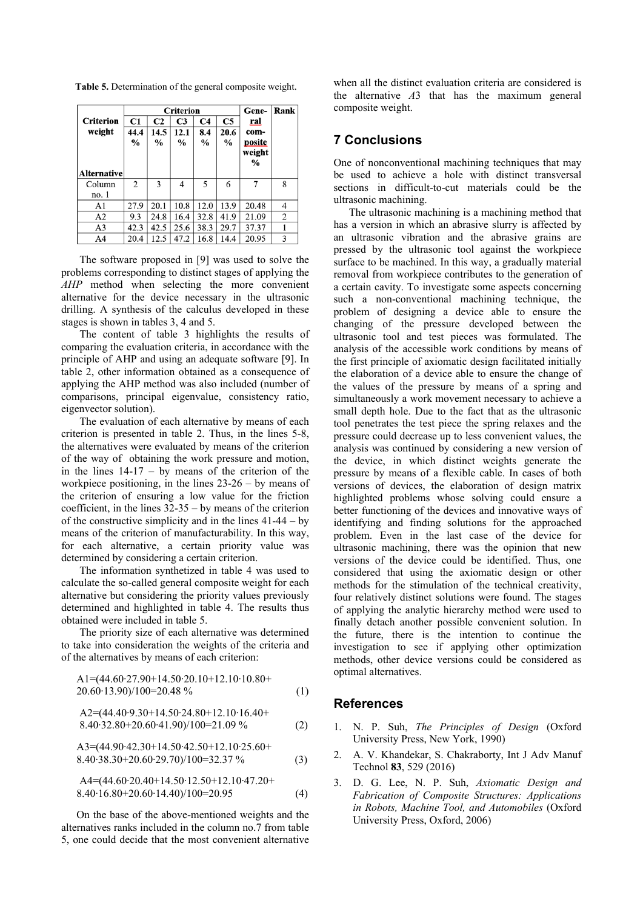**Table 5.** Determination of the general composite weight.

|                  |                |                | <b>Criterion</b> |                |                | Gene-         | <b>Rank</b> |
|------------------|----------------|----------------|------------------|----------------|----------------|---------------|-------------|
| <b>Criterion</b> | C1             | C <sub>2</sub> | C <sub>3</sub>   | C <sub>4</sub> | C <sub>5</sub> | ral           |             |
| weight           | 44.4           | 14.5           | 12.1             | 8.4            | 20.6           | com-          |             |
|                  | $\frac{0}{0}$  | $\%$           | $\frac{0}{0}$    | $\%$           | $\frac{0}{0}$  | posite        |             |
|                  |                |                |                  |                |                | weight        |             |
|                  |                |                |                  |                |                | $\frac{6}{6}$ |             |
| Alternative      |                |                |                  |                |                |               |             |
| Column           | $\overline{c}$ | 3              | 4                | 5              | 6              | 7             | 8           |
| no. 1            |                |                |                  |                |                |               |             |
| A1               | 27.9           | 20.1           | 10.8             | 12.0           | 13.9           | 20.48         | 4           |
| A2               | 9.3            | 24.8           | 16.4             | 32.8           | 41.9           | 21.09         | 2           |
| A3               | 42.3           | 42.5           | 25.6             | 38.3           | 29.7           | 37.37         |             |
| A4               | 20.4           | 12.5           | 47.2             | 16.8           | 14.4           | 20.95         | 3           |

The software proposed in [9] was used to solve the problems corresponding to distinct stages of applying the *AHP* method when selecting the more convenient alternative for the device necessary in the ultrasonic drilling. A synthesis of the calculus developed in these stages is shown in tables 3, 4 and 5.

The content of table 3 highlights the results of comparing the evaluation criteria, in accordance with the principle of AHP and using an adequate software [9]. In table 2, other information obtained as a consequence of applying the AHP method was also included (number of comparisons, principal eigenvalue, consistency ratio, eigenvector solution).

The evaluation of each alternative by means of each criterion is presented in table 2. Thus, in the lines 5-8, the alternatives were evaluated by means of the criterion of the way of obtaining the work pressure and motion, in the lines  $14-17 - by$  means of the criterion of the workpiece positioning, in the lines 23-26 – by means of the criterion of ensuring a low value for the friction coefficient, in the lines  $32-35 - by$  means of the criterion of the constructive simplicity and in the lines 41-44 – by means of the criterion of manufacturability. In this way, for each alternative, a certain priority value was determined by considering a certain criterion.

The information synthetized in table 4 was used to calculate the so-called general composite weight for each alternative but considering the priority values previously determined and highlighted in table 4. The results thus obtained were included in table 5.

The priority size of each alternative was determined to take into consideration the weights of the criteria and of the alternatives by means of each criterion:

$$
A1=(44.60.27.90+14.50.20.10+12.10.10.80+20.60.13.90)/100=20.48\% \t(1)
$$

$$
A2=(44.40.9.30+14.50.24.80+12.10.16.40+8.40.32.80+20.60.41.90)/100=21.09\%
$$
 (2)

$$
A3=(44.90.42.30+14.50.42.50+12.10.25.60+8.40.38.30+20.60.29.70)/100=32.37\%
$$
 (3)

$$
A4=(44.60 \cdot 20.40+14.50 \cdot 12.50+12.10 \cdot 47.20+8.40 \cdot 16.80+20.60 \cdot 14.40)/100=20.95
$$
 (4)

On the base of the above-mentioned weights and the alternatives ranks included in the column no.7 from table 5, one could decide that the most convenient alternative

when all the distinct evaluation criteria are considered is the alternative *A*3 that has the maximum general composite weight.

#### **7 Conclusions**

One of nonconventional machining techniques that may be used to achieve a hole with distinct transversal sections in difficult-to-cut materials could be the ultrasonic machining.

The ultrasonic machining is a machining method that has a version in which an abrasive slurry is affected by an ultrasonic vibration and the abrasive grains are pressed by the ultrasonic tool against the workpiece surface to be machined. In this way, a gradually material removal from workpiece contributes to the generation of a certain cavity. To investigate some aspects concerning such a non-conventional machining technique, the problem of designing a device able to ensure the changing of the pressure developed between the ultrasonic tool and test pieces was formulated. The analysis of the accessible work conditions by means of the first principle of axiomatic design facilitated initially the elaboration of a device able to ensure the change of the values of the pressure by means of a spring and simultaneously a work movement necessary to achieve a small depth hole. Due to the fact that as the ultrasonic tool penetrates the test piece the spring relaxes and the pressure could decrease up to less convenient values, the analysis was continued by considering a new version of the device, in which distinct weights generate the pressure by means of a flexible cable. In cases of both versions of devices, the elaboration of design matrix highlighted problems whose solving could ensure a better functioning of the devices and innovative ways of identifying and finding solutions for the approached problem. Even in the last case of the device for ultrasonic machining, there was the opinion that new versions of the device could be identified. Thus, one considered that using the axiomatic design or other methods for the stimulation of the technical creativity, four relatively distinct solutions were found. The stages of applying the analytic hierarchy method were used to finally detach another possible convenient solution. In the future, there is the intention to continue the investigation to see if applying other optimization methods, other device versions could be considered as optimal alternatives.

#### **References**

- 1. N. P. Suh, *The Principles of Design* (Oxford University Press, New York, 1990)
- 2. A. V. Khandekar, S. Chakraborty, Int J Adv Manuf Technol **83**, 529 (2016)
- 3. D. G. Lee, N. P. Suh, *Axiomatic Design and Fabrication of Composite Structures: Applications in Robots, Machine Tool, and Automobiles* (Oxford University Press, Oxford, 2006)